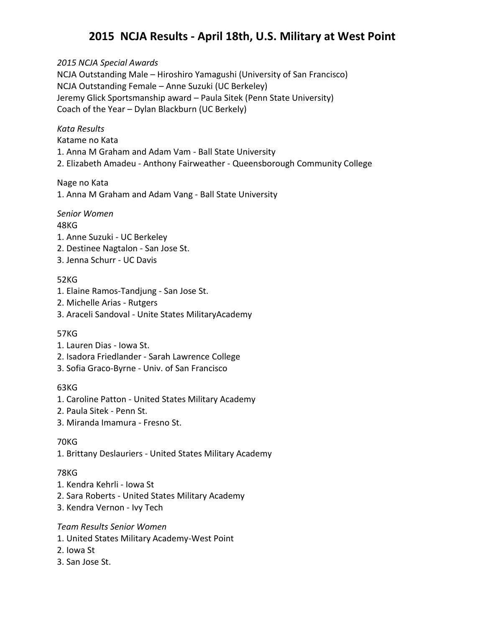# **2015 NCJA Results - April 18th, U.S. Military at West Point**

*2015 NCJA Special Awards* NCJA Outstanding Male – Hiroshiro Yamagushi (University of San Francisco) NCJA Outstanding Female – Anne Suzuki (UC Berkeley) Jeremy Glick Sportsmanship award – Paula Sitek (Penn State University) Coach of the Year – Dylan Blackburn (UC Berkely)

#### *Kata Results*

Katame no Kata

1. Anna M Graham and Adam Vam - Ball State University

2. Elizabeth Amadeu - Anthony Fairweather - Queensborough Community College

#### Nage no Kata

1. Anna M Graham and Adam Vang - Ball State University

#### *Senior Women*

#### 48KG

- 1. Anne Suzuki UC Berkeley
- 2. Destinee Nagtalon San Jose St.
- 3. Jenna Schurr UC Davis

#### 52KG

- 1. Elaine Ramos-Tandjung San Jose St.
- 2. Michelle Arias Rutgers
- 3. Araceli Sandoval Unite States MilitaryAcademy

#### 57KG

- 1. Lauren Dias Iowa St.
- 2. Isadora Friedlander Sarah Lawrence College
- 3. Sofia Graco-Byrne Univ. of San Francisco

#### 63KG

- 1. Caroline Patton United States Military Academy
- 2. Paula Sitek Penn St.
- 3. Miranda Imamura Fresno St.

#### 70KG

1. Brittany Deslauriers - United States Military Academy

#### 78KG

- 1. Kendra Kehrli Iowa St
- 2. Sara Roberts United States Military Academy
- 3. Kendra Vernon Ivy Tech

#### *Team Results Senior Women*

- 1. United States Military Academy-West Point
- 2. Iowa St
- 3. San Jose St.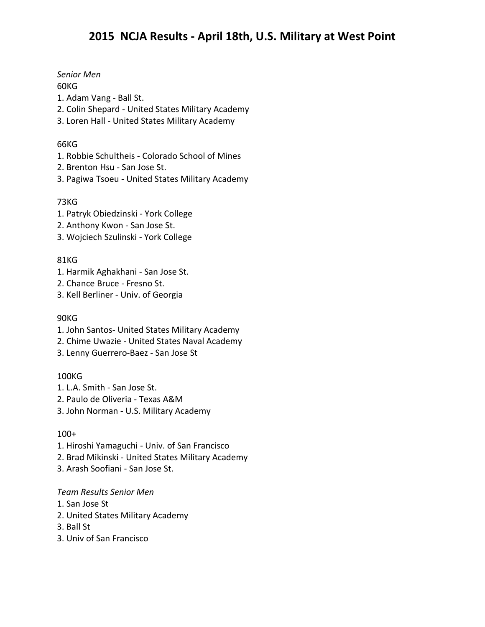*Senior Men*

## 60KG

- 1. Adam Vang Ball St.
- 2. Colin Shepard United States Military Academy
- 3. Loren Hall United States Military Academy

## 66KG

- 1. Robbie Schultheis Colorado School of Mines
- 2. Brenton Hsu San Jose St.
- 3. Pagiwa Tsoeu United States Military Academy

# 73KG

- 1. Patryk Obiedzinski York College
- 2. Anthony Kwon San Jose St.
- 3. Wojciech Szulinski York College

## 81KG

- 1. Harmik Aghakhani San Jose St.
- 2. Chance Bruce Fresno St.
- 3. Kell Berliner Univ. of Georgia

## 90KG

- 1. John Santos- United States Military Academy
- 2. Chime Uwazie United States Naval Academy
- 3. Lenny Guerrero-Baez San Jose St

# 100KG

- 1. L.A. Smith San Jose St.
- 2. Paulo de Oliveria Texas A&M
- 3. John Norman U.S. Military Academy

#### 100+

- 1. Hiroshi Yamaguchi Univ. of San Francisco
- 2. Brad Mikinski United States Military Academy
- 3. Arash Soofiani San Jose St.

#### *Team Results Senior Men*

- 1. San Jose St
- 2. United States Military Academy
- 3. Ball St
- 3. Univ of San Francisco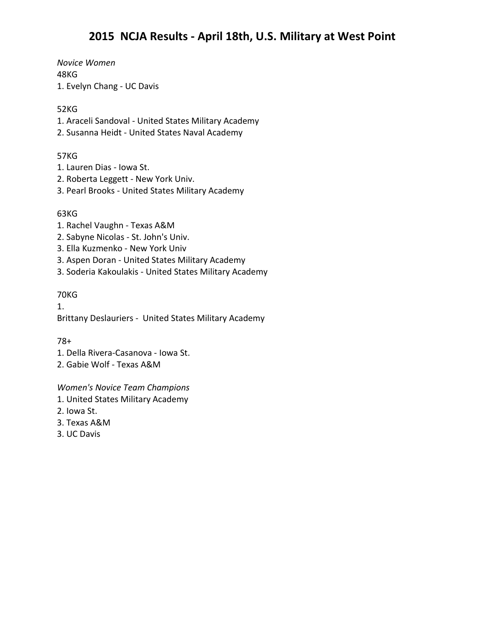*Novice Women* 48KG 1. Evelyn Chang - UC Davis

## 52KG

- 1. Araceli Sandoval United States Military Academy
- 2. Susanna Heidt United States Naval Academy

## 57KG

- 1. Lauren Dias Iowa St.
- 2. Roberta Leggett New York Univ.
- 3. Pearl Brooks United States Military Academy

## 63KG

- 1. Rachel Vaughn Texas A&M
- 2. Sabyne Nicolas St. John's Univ.
- 3. Ella Kuzmenko New York Univ
- 3. Aspen Doran United States Military Academy
- 3. Soderia Kakoulakis United States Military Academy

#### 70KG

1. Brittany Deslauriers - United States Military Academy

# 78+

- 1. Della Rivera-Casanova Iowa St.
- 2. Gabie Wolf Texas A&M

*Women's Novice Team Champions*

- 1. United States Military Academy
- 2. Iowa St.
- 3. Texas A&M
- 3. UC Davis